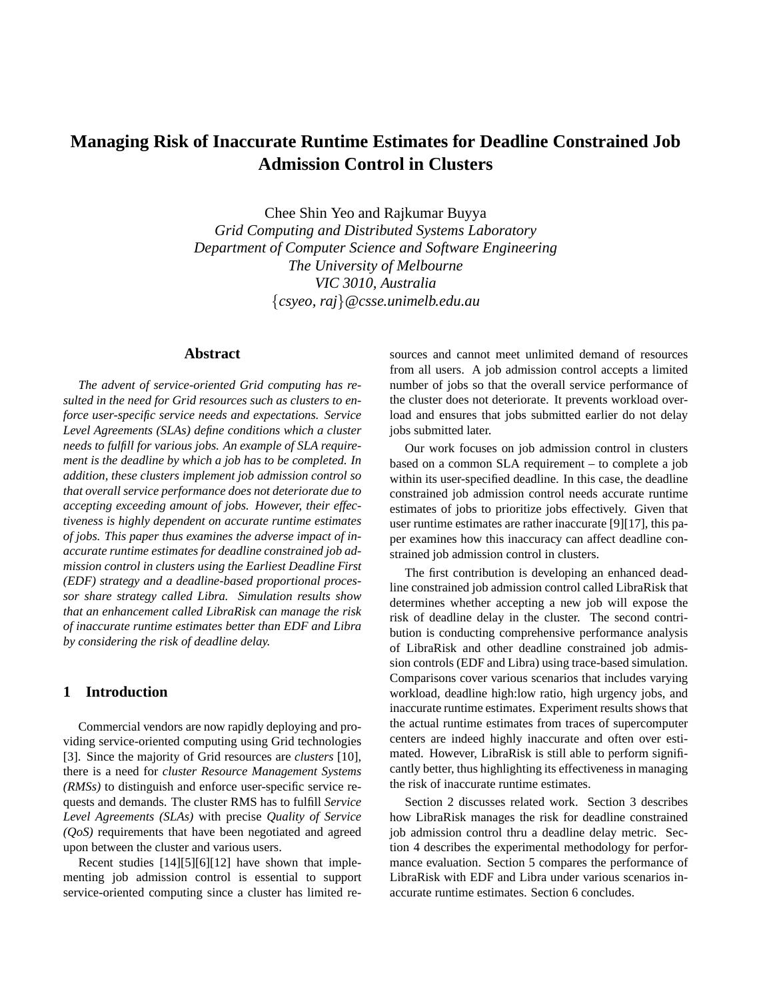# **Managing Risk of Inaccurate Runtime Estimates for Deadline Constrained Job Admission Control in Clusters**

Chee Shin Yeo and Rajkumar Buyya

*Grid Computing and Distributed Systems Laboratory Department of Computer Science and Software Engineering The University of Melbourne VIC 3010, Australia* {*csyeo, raj*}*@csse.unimelb.edu.au*

## **Abstract**

*The advent of service-oriented Grid computing has resulted in the need for Grid resources such as clusters to enforce user-specific service needs and expectations. Service Level Agreements (SLAs) define conditions which a cluster needs to fulfill for various jobs. An example of SLA requirement is the deadline by which a job has to be completed. In addition, these clusters implement job admission control so that overall service performance does not deteriorate due to accepting exceeding amount of jobs. However, their effectiveness is highly dependent on accurate runtime estimates of jobs. This paper thus examines the adverse impact of inaccurate runtime estimates for deadline constrained job admission control in clusters using the Earliest Deadline First (EDF) strategy and a deadline-based proportional processor share strategy called Libra. Simulation results show that an enhancement called LibraRisk can manage the risk of inaccurate runtime estimates better than EDF and Libra by considering the risk of deadline delay.*

## **1 Introduction**

Commercial vendors are now rapidly deploying and providing service-oriented computing using Grid technologies [3]. Since the majority of Grid resources are *clusters* [10], there is a need for *cluster Resource Management Systems (RMSs)* to distinguish and enforce user-specific service requests and demands. The cluster RMS has to fulfill *Service Level Agreements (SLAs)* with precise *Quality of Service (QoS)* requirements that have been negotiated and agreed upon between the cluster and various users.

Recent studies [14][5][6][12] have shown that implementing job admission control is essential to support service-oriented computing since a cluster has limited resources and cannot meet unlimited demand of resources from all users. A job admission control accepts a limited number of jobs so that the overall service performance of the cluster does not deteriorate. It prevents workload overload and ensures that jobs submitted earlier do not delay jobs submitted later.

Our work focuses on job admission control in clusters based on a common SLA requirement – to complete a job within its user-specified deadline. In this case, the deadline constrained job admission control needs accurate runtime estimates of jobs to prioritize jobs effectively. Given that user runtime estimates are rather inaccurate [9][17], this paper examines how this inaccuracy can affect deadline constrained job admission control in clusters.

The first contribution is developing an enhanced deadline constrained job admission control called LibraRisk that determines whether accepting a new job will expose the risk of deadline delay in the cluster. The second contribution is conducting comprehensive performance analysis of LibraRisk and other deadline constrained job admission controls (EDF and Libra) using trace-based simulation. Comparisons cover various scenarios that includes varying workload, deadline high:low ratio, high urgency jobs, and inaccurate runtime estimates. Experiment results shows that the actual runtime estimates from traces of supercomputer centers are indeed highly inaccurate and often over estimated. However, LibraRisk is still able to perform significantly better, thus highlighting its effectiveness in managing the risk of inaccurate runtime estimates.

Section 2 discusses related work. Section 3 describes how LibraRisk manages the risk for deadline constrained job admission control thru a deadline delay metric. Section 4 describes the experimental methodology for performance evaluation. Section 5 compares the performance of LibraRisk with EDF and Libra under various scenarios inaccurate runtime estimates. Section 6 concludes.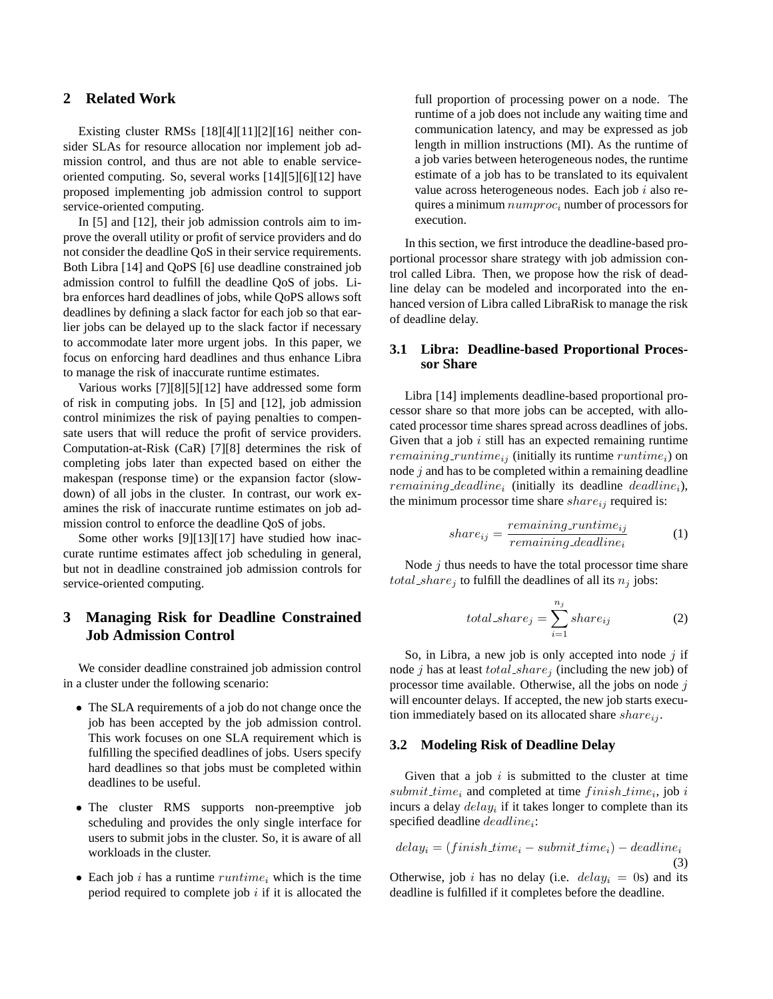## **2 Related Work**

Existing cluster RMSs [18][4][11][2][16] neither consider SLAs for resource allocation nor implement job admission control, and thus are not able to enable serviceoriented computing. So, several works [14][5][6][12] have proposed implementing job admission control to support service-oriented computing.

In [5] and [12], their job admission controls aim to improve the overall utility or profit of service providers and do not consider the deadline QoS in their service requirements. Both Libra [14] and QoPS [6] use deadline constrained job admission control to fulfill the deadline QoS of jobs. Libra enforces hard deadlines of jobs, while QoPS allows soft deadlines by defining a slack factor for each job so that earlier jobs can be delayed up to the slack factor if necessary to accommodate later more urgent jobs. In this paper, we focus on enforcing hard deadlines and thus enhance Libra to manage the risk of inaccurate runtime estimates.

Various works [7][8][5][12] have addressed some form of risk in computing jobs. In [5] and [12], job admission control minimizes the risk of paying penalties to compensate users that will reduce the profit of service providers. Computation-at-Risk (CaR) [7][8] determines the risk of completing jobs later than expected based on either the makespan (response time) or the expansion factor (slowdown) of all jobs in the cluster. In contrast, our work examines the risk of inaccurate runtime estimates on job admission control to enforce the deadline QoS of jobs.

Some other works [9][13][17] have studied how inaccurate runtime estimates affect job scheduling in general, but not in deadline constrained job admission controls for service-oriented computing.

# **3 Managing Risk for Deadline Constrained Job Admission Control**

We consider deadline constrained job admission control in a cluster under the following scenario:

- The SLA requirements of a job do not change once the job has been accepted by the job admission control. This work focuses on one SLA requirement which is fulfilling the specified deadlines of jobs. Users specify hard deadlines so that jobs must be completed within deadlines to be useful.
- The cluster RMS supports non-preemptive job scheduling and provides the only single interface for users to submit jobs in the cluster. So, it is aware of all workloads in the cluster.
- Each job i has a runtime  $runtime_i$  which is the time period required to complete job  $i$  if it is allocated the

full proportion of processing power on a node. The runtime of a job does not include any waiting time and communication latency, and may be expressed as job length in million instructions (MI). As the runtime of a job varies between heterogeneous nodes, the runtime estimate of a job has to be translated to its equivalent value across heterogeneous nodes. Each job i also requires a minimum  $numproc_i$  number of processors for execution.

In this section, we first introduce the deadline-based proportional processor share strategy with job admission control called Libra. Then, we propose how the risk of deadline delay can be modeled and incorporated into the enhanced version of Libra called LibraRisk to manage the risk of deadline delay.

#### **3.1 Libra: Deadline-based Proportional Processor Share**

Libra [14] implements deadline-based proportional processor share so that more jobs can be accepted, with allocated processor time shares spread across deadlines of jobs. Given that a job  $i$  still has an expected remaining runtime *remaining\_runtime<sub>ij</sub>* (initially its runtime *runtime<sub>i</sub>*) on node  $j$  and has to be completed within a remaining deadline remaining deadline<sub>i</sub> (initially its deadline deadline<sub>i</sub>), the minimum processor time share  $share_{ij}$  required is:

$$
share_{ij} = \frac{remaining\_runting_{ij}}{remaining\_deadline_i}
$$
 (1)

Node  $j$  thus needs to have the total processor time share *total\_share<sub>j</sub>* to fulfill the deadlines of all its  $n_j$  jobs:

$$
total\_share_j = \sum_{i=1}^{n_j} share_{ij}
$$
 (2)

So, in Libra, a new job is only accepted into node  $j$  if node j has at least  $total\_share_i$  (including the new job) of processor time available. Otherwise, all the jobs on node  $j$ will encounter delays. If accepted, the new job starts execution immediately based on its allocated share  $share_{ij}$ .

#### **3.2 Modeling Risk of Deadline Delay**

Given that a job  $i$  is submitted to the cluster at time  $submit_time_i$  and completed at time  $finish_time_i$ , job i incurs a delay  $delay_i$  if it takes longer to complete than its specified deadline  $deadline_i$ :

$$
delay_i = (finish\_time_i - submit\_time_i) - deadline_i
$$
\n(3)

Otherwise, job i has no delay (i.e.  $delay_i = 0$ s) and its deadline is fulfilled if it completes before the deadline.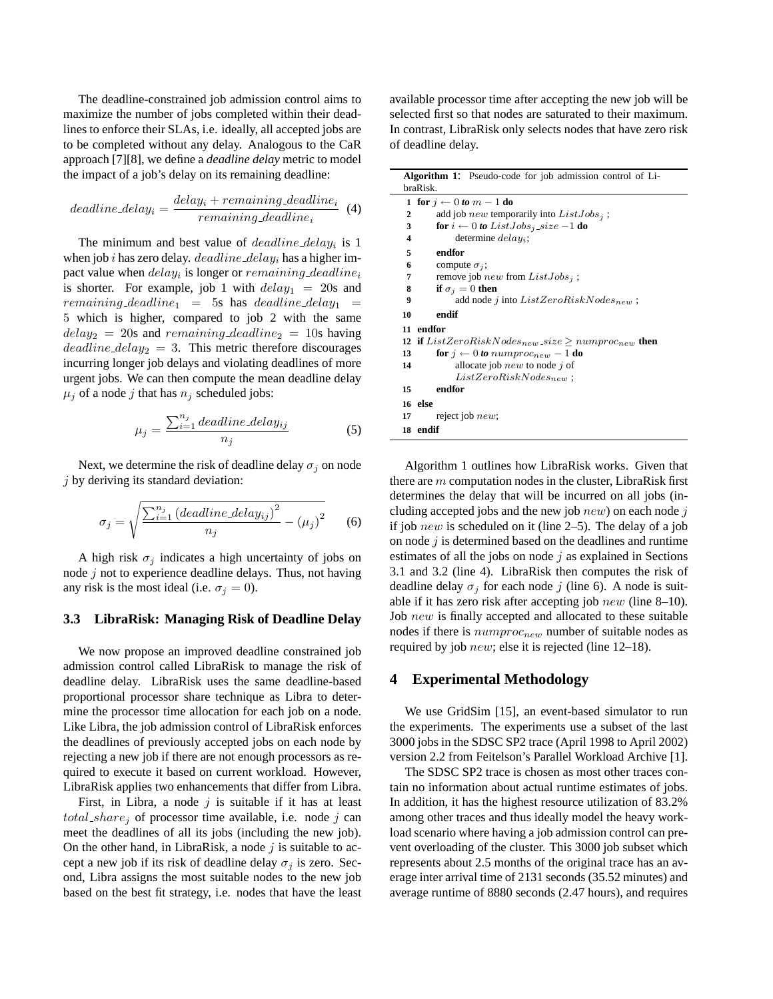The deadline-constrained job admission control aims to maximize the number of jobs completed within their deadlines to enforce their SLAs, i.e. ideally, all accepted jobs are to be completed without any delay. Analogous to the CaR approach [7][8], we define a *deadline delay* metric to model the impact of a job's delay on its remaining deadline:

$$
deadline\_delay_i = \frac{delay_i + remaining\_deadline_i}{remaining\_deadline_i} \tag{4}
$$

The minimum and best value of  $deadline\_delay_i$  is 1 when job i has zero delay.  $deadline\_delay_i$  has a higher impact value when  $delay_i$  is longer or  $remaining\_deadline_i$ is shorter. For example, job 1 with  $delay_1 = 20s$  and remaining deadline<sub>1</sub> = 5s has deadline delay<sub>1</sub> = 5 which is higher, compared to job 2 with the same  $delay_2 = 20s$  and remaining deadline<sub>2</sub> = 10s having  $deadline\_delay_2 = 3$ . This metric therefore discourages incurring longer job delays and violating deadlines of more urgent jobs. We can then compute the mean deadline delay  $\mu_j$  of a node j that has  $n_j$  scheduled jobs:

$$
\mu_j = \frac{\sum_{i=1}^{n_j} deadline\_delay_{ij}}{n_j} \tag{5}
$$

Next, we determine the risk of deadline delay  $\sigma_i$  on node  $j$  by deriving its standard deviation:

$$
\sigma_j = \sqrt{\frac{\sum_{i=1}^{n_j} (deadline\_delay_{ij})^2}{n_j} - (\mu_j)^2}
$$
 (6)

A high risk  $\sigma_j$  indicates a high uncertainty of jobs on node  $j$  not to experience deadline delays. Thus, not having any risk is the most ideal (i.e.  $\sigma_j = 0$ ).

#### **3.3 LibraRisk: Managing Risk of Deadline Delay**

We now propose an improved deadline constrained job admission control called LibraRisk to manage the risk of deadline delay. LibraRisk uses the same deadline-based proportional processor share technique as Libra to determine the processor time allocation for each job on a node. Like Libra, the job admission control of LibraRisk enforces the deadlines of previously accepted jobs on each node by rejecting a new job if there are not enough processors as required to execute it based on current workload. However, LibraRisk applies two enhancements that differ from Libra.

First, in Libra, a node  $i$  is suitable if it has at least total share, of processor time available, i.e. node j can meet the deadlines of all its jobs (including the new job). On the other hand, in LibraRisk, a node  $j$  is suitable to accept a new job if its risk of deadline delay  $\sigma_i$  is zero. Second, Libra assigns the most suitable nodes to the new job based on the best fit strategy, i.e. nodes that have the least available processor time after accepting the new job will be selected first so that nodes are saturated to their maximum. In contrast, LibraRisk only selects nodes that have zero risk of deadline delay.

| <b>Algorithm 1:</b> Pseudo-code for job admission control of Li-<br>braRisk. |
|------------------------------------------------------------------------------|
| 1 for $j \leftarrow 0$ to $m-1$ do                                           |
| add job <i>new</i> temporarily into $ListJobsi$ ;<br>2                       |
| for $i \leftarrow 0$ to List Jobs <sub>i</sub> _size -1 do<br>3              |
| determine $delay_i$ ;<br>4                                                   |
| endfor<br>5                                                                  |
| 6<br>compute $\sigma_i$ ;                                                    |
| remove job <i>new</i> from $ListJobsi$ ;<br>7                                |
| if $\sigma_i = 0$ then<br>8                                                  |
| add node j into $ListZeroRiskNodes_{new}$ ;<br>9                             |
| endif<br>10                                                                  |
| 11 endfor                                                                    |
| 12 if $ListZeroRiskNodes_{new\_size} > numberoc_{new}$ then                  |
| for $j \leftarrow 0$ to numproc <sub>new</sub> - 1 do<br>13                  |
| allocate job <i>new</i> to node j of<br>14                                   |
| $ListZeroRiskNodes_{new};$                                                   |
| endfor<br>15                                                                 |
| 16 else                                                                      |
| reject job $new$ ;<br>17                                                     |
| 18 endif                                                                     |

Algorithm 1 outlines how LibraRisk works. Given that there are  $m$  computation nodes in the cluster, LibraRisk first determines the delay that will be incurred on all jobs (including accepted jobs and the new job  $new$ ) on each node j if job  $new$  is scheduled on it (line 2–5). The delay of a job on node  $j$  is determined based on the deadlines and runtime estimates of all the jobs on node  $j$  as explained in Sections 3.1 and 3.2 (line 4). LibraRisk then computes the risk of deadline delay  $\sigma_j$  for each node j (line 6). A node is suitable if it has zero risk after accepting job  $new$  (line 8–10). Job new is finally accepted and allocated to these suitable nodes if there is  $numproc_{new}$  number of suitable nodes as required by job new; else it is rejected (line 12–18).

#### **4 Experimental Methodology**

We use GridSim [15], an event-based simulator to run the experiments. The experiments use a subset of the last 3000 jobs in the SDSC SP2 trace (April 1998 to April 2002) version 2.2 from Feitelson's Parallel Workload Archive [1].

The SDSC SP2 trace is chosen as most other traces contain no information about actual runtime estimates of jobs. In addition, it has the highest resource utilization of 83.2% among other traces and thus ideally model the heavy workload scenario where having a job admission control can prevent overloading of the cluster. This 3000 job subset which represents about 2.5 months of the original trace has an average inter arrival time of 2131 seconds (35.52 minutes) and average runtime of 8880 seconds (2.47 hours), and requires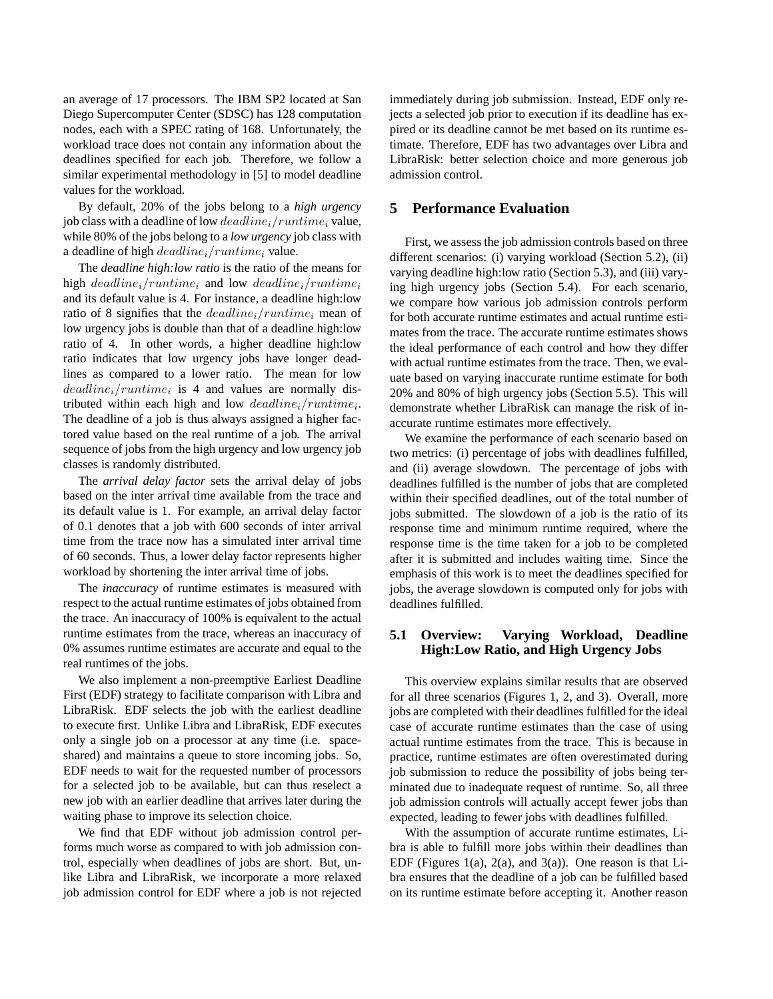an average of 17 processors. The IBM SP2 located at San Diego Supercomputer Center (SDSC) has 128 computation nodes, each with a SPEC rating of 168. Unfortunately, the workload trace does not contain any information about the deadlines specified for each job. Therefore, we follow a similar experimental methodology in [5] to model deadline values for the workload.

By default, 20% of the jobs belong to a *high urgency* job class with a deadline of low  $deadline_i/runtime_i$  value, while 80% of the jobs belong to a *low urgency* job class with a deadline of high  $deadline_i/runtime_i$  value.

The *deadline high:low ratio* is the ratio of the means for high  $deadline_i/runtime_i$  and low  $deadline_i/runtime_i$ and its default value is 4. For instance, a deadline high:low ratio of 8 signifies that the  $deadline_i$ <sub>runtime<sub>i</sub> mean of</sub> low urgency jobs is double than that of a deadline high:low ratio of 4. In other words, a higher deadline high:low ratio indicates that low urgency jobs have longer deadlines as compared to a lower ratio. The mean for low  $deadline_i$  /  $runtime_i$  is 4 and values are normally distributed within each high and low  $deadline_i$ / $runtime_i$ . The deadline of a job is thus always assigned a higher factored value based on the real runtime of a job. The arrival sequence of jobs from the high urgency and low urgency job classes is randomly distributed.

The *arrival delay factor* sets the arrival delay of jobs based on the inter arrival time available from the trace and its default value is 1. For example, an arrival delay factor of 0.1 denotes that a job with 600 seconds of inter arrival time from the trace now has a simulated inter arrival time of 60 seconds. Thus, a lower delay factor represents higher workload by shortening the inter arrival time of jobs.

The *inaccuracy* of runtime estimates is measured with respect to the actual runtime estimates of jobs obtained from the trace. An inaccuracy of 100% is equivalent to the actual runtime estimates from the trace, whereas an inaccuracy of 0% assumes runtime estimates are accurate and equal to the real runtimes of the jobs.

We also implement a non-preemptive Earliest Deadline First (EDF) strategy to facilitate comparison with Libra and LibraRisk. EDF selects the job with the earliest deadline to execute first. Unlike Libra and LibraRisk, EDF executes only a single job on a processor at any time (i.e. spaceshared) and maintains a queue to store incoming jobs. So, EDF needs to wait for the requested number of processors for a selected job to be available, but can thus reselect a new job with an earlier deadline that arrives later during the waiting phase to improve its selection choice.

We find that EDF without job admission control performs much worse as compared to with job admission control, especially when deadlines of jobs are short. But, unlike Libra and LibraRisk, we incorporate a more relaxed job admission control for EDF where a job is not rejected immediately during job submission. Instead, EDF only rejects a selected job prior to execution if its deadline has expired or its deadline cannot be met based on its runtime estimate. Therefore, EDF has two advantages over Libra and LibraRisk: better selection choice and more generous job admission control.

## **5 Performance Evaluation**

First, we assess the job admission controls based on three different scenarios: (i) varying workload (Section 5.2), (ii) varying deadline high:low ratio (Section 5.3), and (iii) varying high urgency jobs (Section 5.4). For each scenario, we compare how various job admission controls perform for both accurate runtime estimates and actual runtime estimates from the trace. The accurate runtime estimates shows the ideal performance of each control and how they differ with actual runtime estimates from the trace. Then, we evaluate based on varying inaccurate runtime estimate for both 20% and 80% of high urgency jobs (Section 5.5). This will demonstrate whether LibraRisk can manage the risk of inaccurate runtime estimates more effectively.

We examine the performance of each scenario based on two metrics: (i) percentage of jobs with deadlines fulfilled, and (ii) average slowdown. The percentage of jobs with deadlines fulfilled is the number of jobs that are completed within their specified deadlines, out of the total number of jobs submitted. The slowdown of a job is the ratio of its response time and minimum runtime required, where the response time is the time taken for a job to be completed after it is submitted and includes waiting time. Since the emphasis of this work is to meet the deadlines specified for jobs, the average slowdown is computed only for jobs with deadlines fulfilled.

## **5.1 Overview: Varying Workload, Deadline High:Low Ratio, and High Urgency Jobs**

This overview explains similar results that are observed for all three scenarios (Figures 1, 2, and 3). Overall, more jobs are completed with their deadlines fulfilled for the ideal case of accurate runtime estimates than the case of using actual runtime estimates from the trace. This is because in practice, runtime estimates are often overestimated during job submission to reduce the possibility of jobs being terminated due to inadequate request of runtime. So, all three job admission controls will actually accept fewer jobs than expected, leading to fewer jobs with deadlines fulfilled.

With the assumption of accurate runtime estimates, Libra is able to fulfill more jobs within their deadlines than EDF (Figures 1(a),  $2(a)$ , and  $3(a)$ ). One reason is that Libra ensures that the deadline of a job can be fulfilled based on its runtime estimate before accepting it. Another reason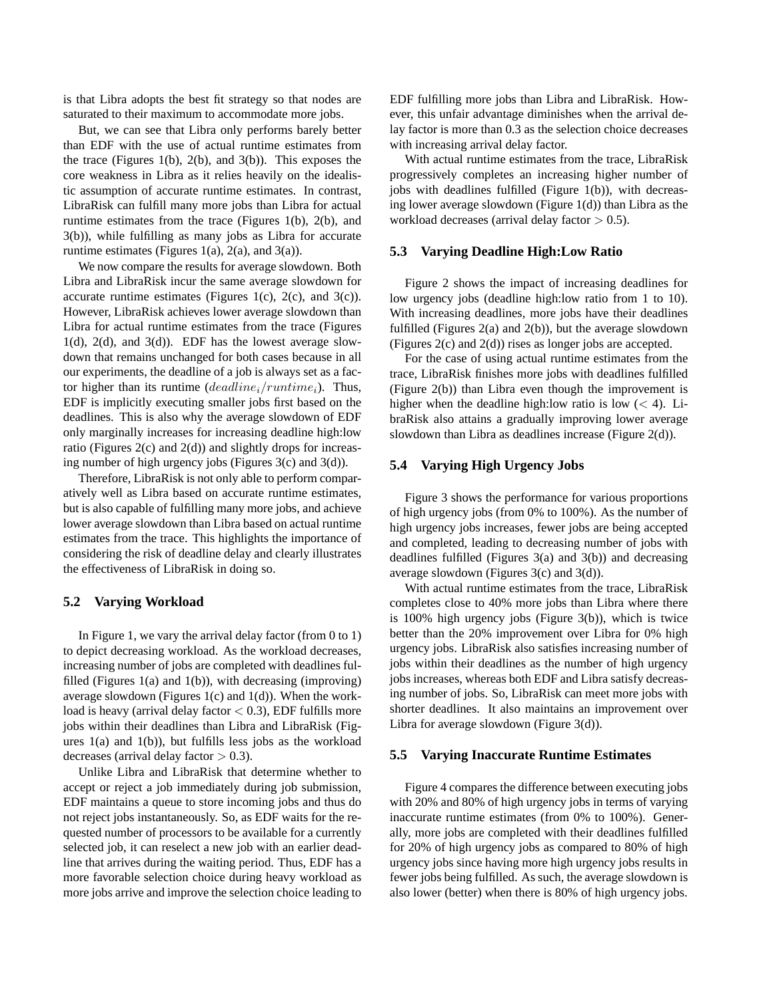is that Libra adopts the best fit strategy so that nodes are saturated to their maximum to accommodate more jobs.

But, we can see that Libra only performs barely better than EDF with the use of actual runtime estimates from the trace (Figures 1(b), 2(b), and 3(b)). This exposes the core weakness in Libra as it relies heavily on the idealistic assumption of accurate runtime estimates. In contrast, LibraRisk can fulfill many more jobs than Libra for actual runtime estimates from the trace (Figures 1(b), 2(b), and 3(b)), while fulfilling as many jobs as Libra for accurate runtime estimates (Figures 1(a),  $2(a)$ , and  $3(a)$ ).

We now compare the results for average slowdown. Both Libra and LibraRisk incur the same average slowdown for accurate runtime estimates (Figures 1(c), 2(c), and 3(c)). However, LibraRisk achieves lower average slowdown than Libra for actual runtime estimates from the trace (Figures  $1(d)$ ,  $2(d)$ , and  $3(d)$ ). EDF has the lowest average slowdown that remains unchanged for both cases because in all our experiments, the deadline of a job is always set as a factor higher than its runtime  $(deadline<sub>i</sub>/runtime<sub>i</sub>)$ . Thus, EDF is implicitly executing smaller jobs first based on the deadlines. This is also why the average slowdown of EDF only marginally increases for increasing deadline high:low ratio (Figures 2(c) and 2(d)) and slightly drops for increasing number of high urgency jobs (Figures 3(c) and 3(d)).

Therefore, LibraRisk is not only able to perform comparatively well as Libra based on accurate runtime estimates, but is also capable of fulfilling many more jobs, and achieve lower average slowdown than Libra based on actual runtime estimates from the trace. This highlights the importance of considering the risk of deadline delay and clearly illustrates the effectiveness of LibraRisk in doing so.

#### **5.2 Varying Workload**

In Figure 1, we vary the arrival delay factor (from 0 to 1) to depict decreasing workload. As the workload decreases, increasing number of jobs are completed with deadlines fulfilled (Figures  $1(a)$  and  $1(b)$ ), with decreasing (improving) average slowdown (Figures 1(c) and 1(d)). When the workload is heavy (arrival delay factor  $< 0.3$ ), EDF fulfills more jobs within their deadlines than Libra and LibraRisk (Figures  $1(a)$  and  $1(b)$ ), but fulfills less jobs as the workload decreases (arrival delay factor  $> 0.3$ ).

Unlike Libra and LibraRisk that determine whether to accept or reject a job immediately during job submission, EDF maintains a queue to store incoming jobs and thus do not reject jobs instantaneously. So, as EDF waits for the requested number of processors to be available for a currently selected job, it can reselect a new job with an earlier deadline that arrives during the waiting period. Thus, EDF has a more favorable selection choice during heavy workload as more jobs arrive and improve the selection choice leading to EDF fulfilling more jobs than Libra and LibraRisk. However, this unfair advantage diminishes when the arrival delay factor is more than 0.3 as the selection choice decreases with increasing arrival delay factor.

With actual runtime estimates from the trace, LibraRisk progressively completes an increasing higher number of jobs with deadlines fulfilled (Figure 1(b)), with decreasing lower average slowdown (Figure 1(d)) than Libra as the workload decreases (arrival delay factor  $> 0.5$ ).

#### **5.3 Varying Deadline High:Low Ratio**

Figure 2 shows the impact of increasing deadlines for low urgency jobs (deadline high:low ratio from 1 to 10). With increasing deadlines, more jobs have their deadlines fulfilled (Figures  $2(a)$  and  $2(b)$ ), but the average slowdown (Figures 2(c) and 2(d)) rises as longer jobs are accepted.

For the case of using actual runtime estimates from the trace, LibraRisk finishes more jobs with deadlines fulfilled (Figure 2(b)) than Libra even though the improvement is higher when the deadline high:low ratio is low  $(< 4)$ . LibraRisk also attains a gradually improving lower average slowdown than Libra as deadlines increase (Figure 2(d)).

#### **5.4 Varying High Urgency Jobs**

Figure 3 shows the performance for various proportions of high urgency jobs (from 0% to 100%). As the number of high urgency jobs increases, fewer jobs are being accepted and completed, leading to decreasing number of jobs with deadlines fulfilled (Figures 3(a) and 3(b)) and decreasing average slowdown (Figures 3(c) and 3(d)).

With actual runtime estimates from the trace, LibraRisk completes close to 40% more jobs than Libra where there is 100% high urgency jobs (Figure 3(b)), which is twice better than the 20% improvement over Libra for 0% high urgency jobs. LibraRisk also satisfies increasing number of jobs within their deadlines as the number of high urgency jobs increases, whereas both EDF and Libra satisfy decreasing number of jobs. So, LibraRisk can meet more jobs with shorter deadlines. It also maintains an improvement over Libra for average slowdown (Figure 3(d)).

#### **5.5 Varying Inaccurate Runtime Estimates**

Figure 4 compares the difference between executing jobs with 20% and 80% of high urgency jobs in terms of varying inaccurate runtime estimates (from 0% to 100%). Generally, more jobs are completed with their deadlines fulfilled for 20% of high urgency jobs as compared to 80% of high urgency jobs since having more high urgency jobs results in fewer jobs being fulfilled. As such, the average slowdown is also lower (better) when there is 80% of high urgency jobs.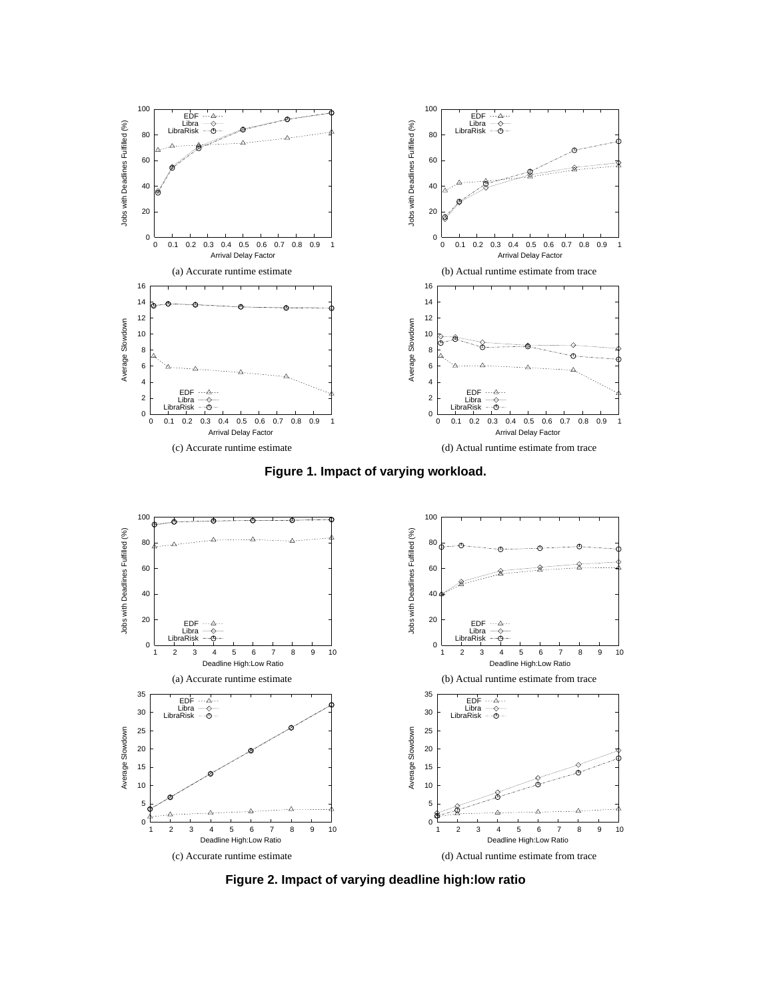





**Figure 2. Impact of varying deadline high:low ratio**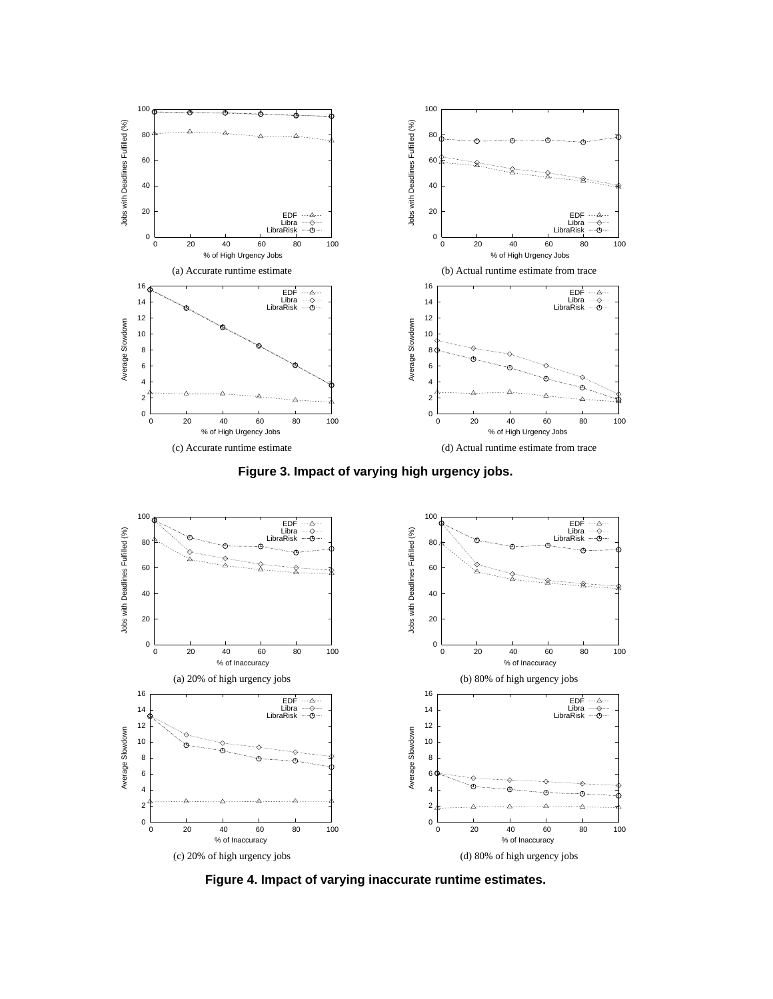





**Figure 4. Impact of varying inaccurate runtime estimates.**